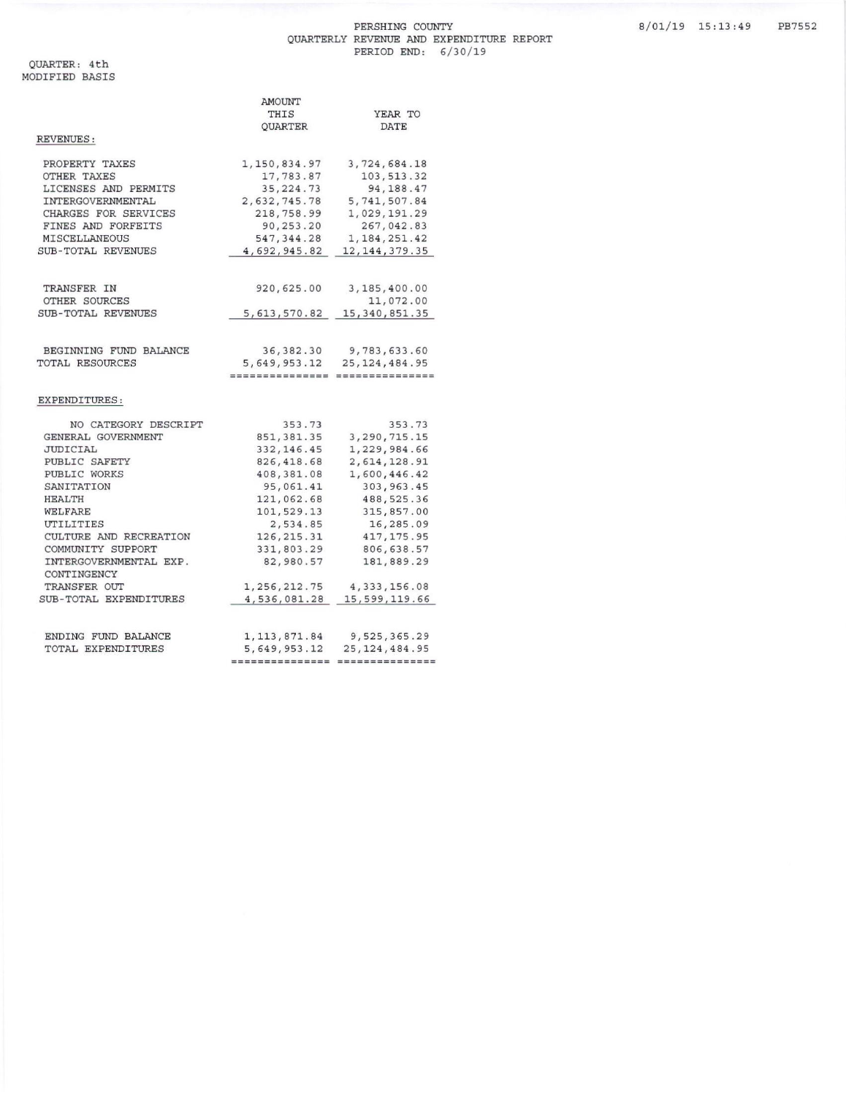## PERSHING COUNTY QUARTERLY REVENUE AND EXPENDITURE REPORT<br>PERIOD END: 6/30/19

|                        | AMOUNT          |                 |  |
|------------------------|-----------------|-----------------|--|
|                        | THIS            | YEAR TO         |  |
|                        | QUARTER         | DATE            |  |
| REVENUES :             |                 |                 |  |
| PROPERTY TAXES         | 1, 150, 834.97  | 3,724,684.18    |  |
| OTHER TAXES            | 17,783.87       | 103, 513.32     |  |
| LICENSES AND PERMITS   | 35, 224.73      | 94, 188.47      |  |
| INTERGOVERNMENTAL      | 2,632,745.78    | 5,741,507.84    |  |
| CHARGES FOR SERVICES   | 218,758.99      | 1,029,191.29    |  |
| FINES AND FORFEITS     | 90,253.20       | 267,042.83      |  |
| MISCELLANEOUS          | 547, 344.28     | 1, 184, 251.42  |  |
| SUB-TOTAL REVENUES     | 4,692,945.82    | 12, 144, 379.35 |  |
|                        |                 |                 |  |
| TRANSFER IN            | 920,625.00      | 3,185,400.00    |  |
| OTHER SOURCES          |                 | 11,072.00       |  |
| SUB-TOTAL REVENUES     | 5, 613, 570.82  | 15, 340, 851.35 |  |
|                        |                 |                 |  |
| BEGINNING FUND BALANCE | 36, 382.30      | 9,783,633.60    |  |
| TOTAL RESOURCES        | 5,649,953.12    | 25, 124, 484.95 |  |
|                        | =============== | *************** |  |
| EXPENDITURES:          |                 |                 |  |
| NO CATEGORY DESCRIPT   | 353.73          | 353.73          |  |
| GENERAL GOVERNMENT     | 851, 381.35     | 3, 290, 715.15  |  |
| JUDICIAL               | 332, 146.45     | 1,229,984.66    |  |
| PUBLIC SAFETY          | 826, 418.68     | 2,614,128.91    |  |
| PUBLIC WORKS           | 408,381.08      | 1,600,446.42    |  |
| SANITATION             | 95,061.41       | 303, 963.45     |  |
| <b>HEALTH</b>          | 121,062.68      | 488, 525.36     |  |
| WELFARE                | 101,529.13      | 315,857.00      |  |
| UTILITIES              | 2,534.85        | 16,285.09       |  |
| CULTURE AND RECREATION | 126, 215.31     | 417, 175.95     |  |
| COMMUNITY SUPPORT      | 331,803.29      | 806, 638.57     |  |
| INTERGOVERNMENTAL EXP. | 82,980.57       | 181,889.29      |  |
| CONTINGENCY            |                 |                 |  |
| TRANSFER OUT           | 1, 256, 212.75  | 4, 333, 156.08  |  |
| SUB-TOTAL EXPENDITURES | 4,536,081.28    | 15,599,119.66   |  |
|                        |                 |                 |  |
| ENDING FUND BALANCE    | 1, 113, 871.84  | 9,525,365.29    |  |
| TOTAL EXPENDITURES     | 5,649,953.12    | 25, 124, 484.95 |  |
|                        | =============== | =============== |  |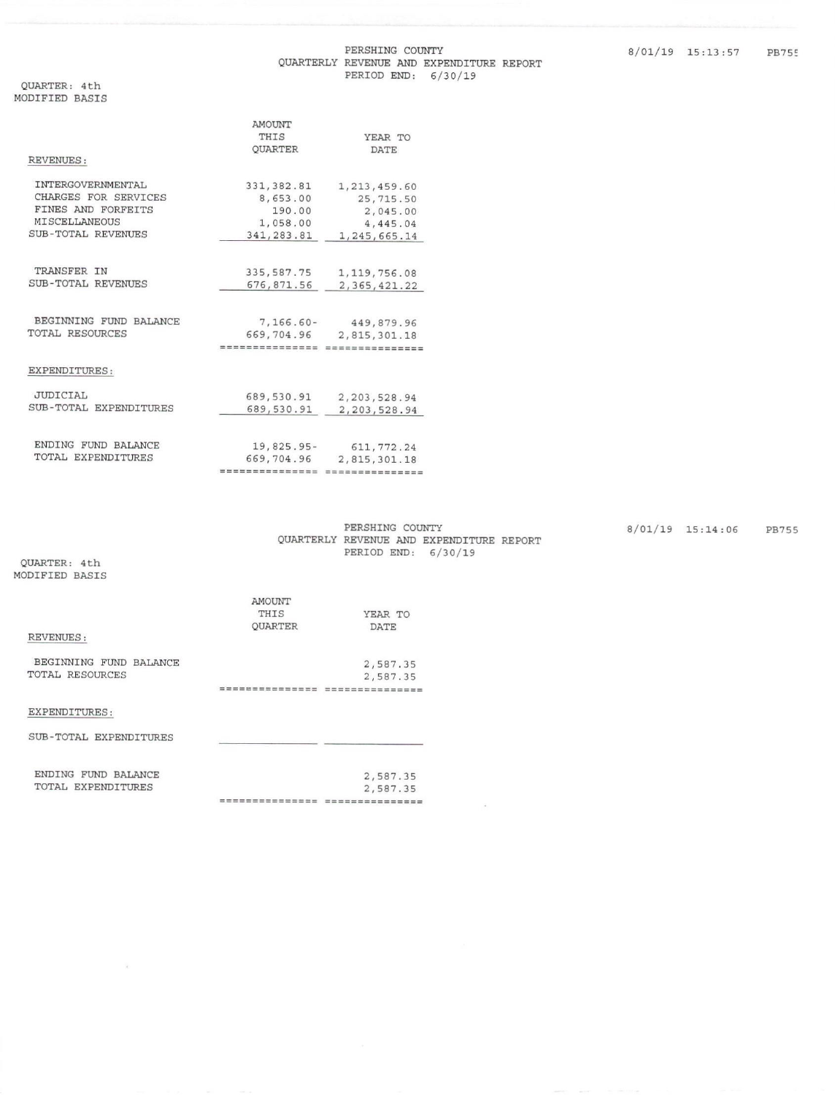## QUARTERLY REVENUE AND EXPENDITURE REPORT PERIOD END: 6/30/19

QUARTER: 4th MODIFIED BASIS

|                          | AMOUNT          |                 |
|--------------------------|-----------------|-----------------|
|                          | THIS            | YEAR TO         |
|                          | <b>OUARTER</b>  | <b>DATE</b>     |
| <b>REVENUES:</b>         |                 |                 |
| <b>INTERGOVERNMENTAL</b> | 331, 382.81     | 1, 213, 459.60  |
| CHARGES FOR SERVICES     | 8,653.00        | 25,715.50       |
| FINES AND FORFEITS       | 190.00          | 2,045.00        |
| <b>MISCELLANEOUS</b>     | 1,058.00        | 4,445.04        |
| SUB-TOTAL REVENUES       | 341, 283.81     | 1,245,665.14    |
| TRANSFER IN              |                 |                 |
| SUB-TOTAL REVENUES       | 335, 587. 75    | 1, 119, 756.08  |
|                          | 676,871.56      | 2, 365, 421.22  |
| BEGINNING FUND BALANCE   | 7,166.60-       | 449,879.96      |
| <b>TOTAL RESOURCES</b>   | 669,704.96      | 2,815,301.18    |
|                          | =============== | =============== |
| EXPENDITURES:            |                 |                 |
| <b>JUDICIAL</b>          | 689,530.91      | 2, 203, 528.94  |
| SUB-TOTAL EXPENDITURES   | 689,530.91      | 2, 203, 528.94  |
|                          |                 |                 |
| ENDING FUND BALANCE      | $19,825.95-$    | 611, 772.24     |
| TOTAL EXPENDITURES       | 669,704.96      | 2,815,301.18    |
|                          | =============== |                 |

| PERSHING COUNTY |                                          |  |
|-----------------|------------------------------------------|--|
|                 | QUARTERLY REVENUE AND EXPENDITURE REPORT |  |
|                 | PERIOD END: 6/30/19                      |  |

 $\sim$ 

8/01/19 15:14:06 PB755

QUARTER: 4th MODIFIED BASIS

 $\mathcal{A}$  .

| <b>REVENUES:</b>                                 | AMOUNT<br>THIS<br><b>OUARTER</b> | YEAR TO<br><b>DATE</b> |
|--------------------------------------------------|----------------------------------|------------------------|
| BEGINNING FUND BALANCE<br><b>TOTAL RESOURCES</b> |                                  | 2,587.35<br>2,587.35   |
| EXPENDITURES:                                    |                                  |                        |
| <b>SUB-TOTAL EXPENDITURES</b>                    |                                  |                        |
| ENDING FUND BALANCE<br>TOTAL EXPENDITURES        |                                  | 2,587.35<br>2.587.35   |

---------------- ----------------

PERSHING COUNTY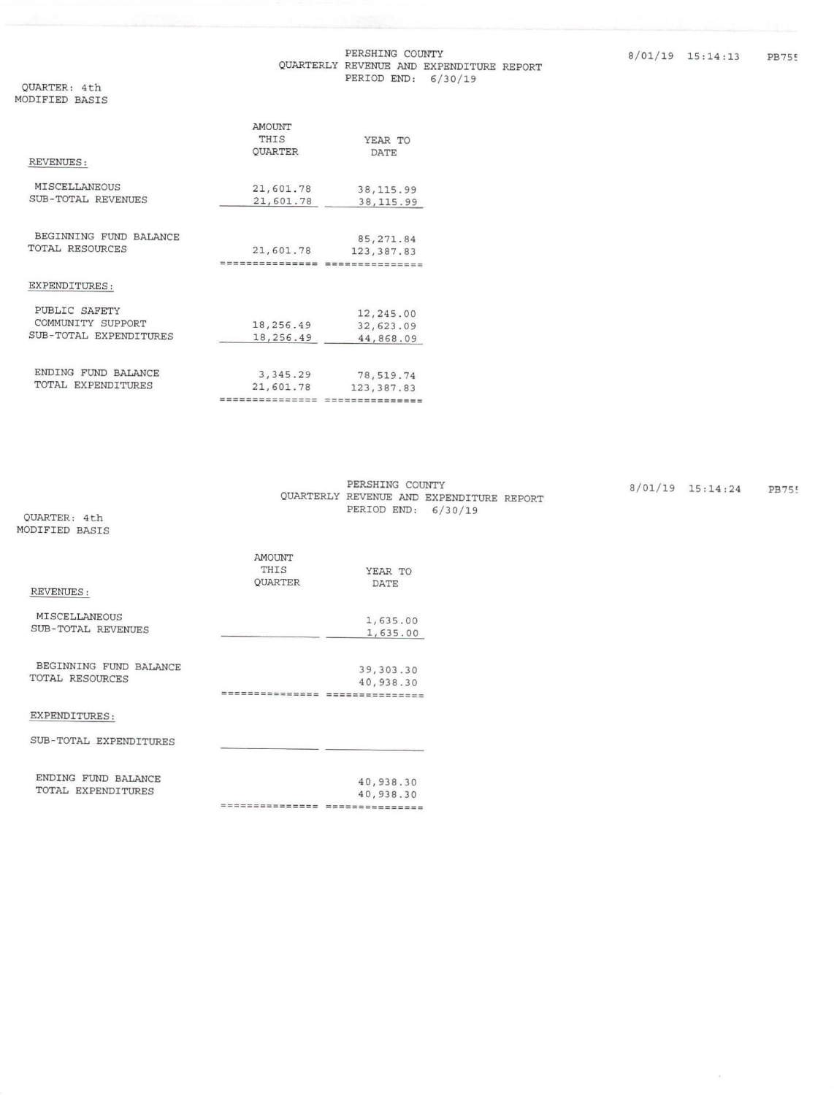## PERSHING COUNTY QUARTERLY REVENUE AND EXPENDITURE REPORT PERIOD END: 6/30/19

QUARTER: 4th MODIFIED BASIS

|                               | <b>AMOUNT</b>    |                |
|-------------------------------|------------------|----------------|
|                               | THIS             | YEAR TO        |
|                               | <b>OUARTER</b>   | DATE           |
| REVENUES:                     |                  |                |
| MISCELLANEOUS                 | 21,601.78        | 38, 115.99     |
| SUB-TOTAL REVENUES            | 21,601.78        | 38, 115.99     |
|                               |                  |                |
| BEGINNING FUND BALANCE        |                  | 85, 271.84     |
| TOTAL RESOURCES               | 21,601.78        | 123, 387.83    |
|                               | =============    | ============== |
| EXPENDITURES:                 |                  |                |
| PUBLIC SAFETY                 |                  | 12,245.00      |
| COMMUNITY SUPPORT             | 18,256.49        | 32,623.09      |
| SUB-TOTAL EXPENDITURES        | 18,256.49        | 44,868.09      |
|                               |                  |                |
| ENDING<br><b>FUND BALANCE</b> | 3, 345.29        | 78,519.74      |
| TOTAL EXPENDITURES            | 21,601.78        | 123, 387.83    |
|                               | ================ | ==========     |

PERSHING COUNTY QUARTERLY REVENUE AND EXPENDITURE REPORT PERIOD END: 6/30/19

 $8/01/19$  15:14:24 PB755

 $\bar{\alpha}$ 

QUARTER: 4th MODIFIED BASIS

| REVENUES:                                  | AMOUNT<br>THIS<br><b>OUARTER</b> | YEAR TO<br><b>DATE</b>                   |
|--------------------------------------------|----------------------------------|------------------------------------------|
| <b>MISCELLANEOUS</b><br>SUB-TOTAL REVENUES |                                  | 1,635.00<br>1,635.00                     |
| BEGINNING FUND BALANCE<br>TOTAL RESOURCES  | ==========                       | 39, 303.30<br>40,938.30<br>============= |
| EXPENDITURES:                              |                                  |                                          |
| SUB-TOTAL EXPENDITURES                     |                                  |                                          |
| ENDING FUND BALANCE<br>TOTAL EXPENDITURES  | . = = = = = = = = = = = = =      | 40,938.30<br>40,938.30<br>---------      |